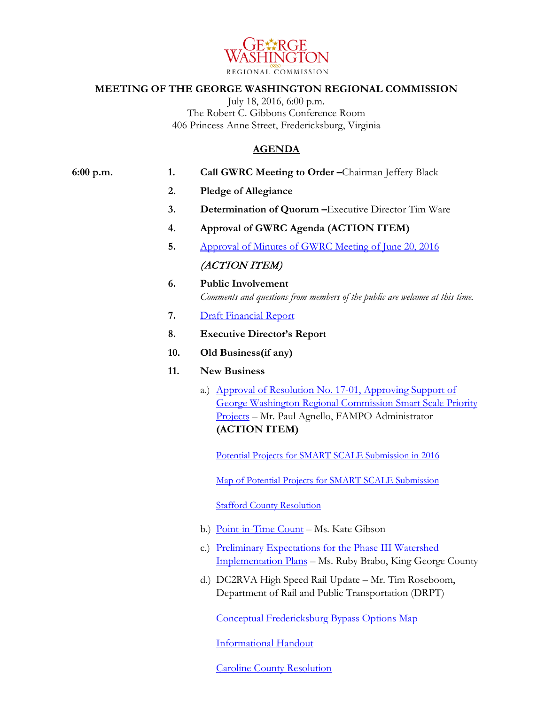

## **MEETING OF THE GEORGE WASHINGTON REGIONAL COMMISSION**

July 18, 2016, 6:00 p.m. The Robert C. Gibbons Conference Room 406 Princess Anne Street, Fredericksburg, Virginia

## **AGENDA**

## **6:00 p.m. 1. Call GWRC Meeting to Order –**Chairman Jeffery Black

- **2. Pledge of Allegiance**
- **3. Determination of Quorum –**Executive Director Tim Ware
- **4. Approval of GWRC Agenda (ACTION ITEM)**
- **5.** [Approval of Minutes of GWRC Meeting of June 20, 2016](https://www.gwregion.org/wp-content/uploads/2016/07/062016-draft-GWRC-Minutes.pdf)

## (ACTION ITEM)

- **6. Public Involvement** *Comments and questions from members of the public are welcome at this time.*
- **7.** [Draft Financial Report](https://www.gwregion.org/wp-content/uploads/2016/07/gwrc-financials-new.pdf)
- **8. Executive Director's Report**
- **10. Old Business(if any)**
- **11. New Business**
	- a.) [Approval of Resolution No. 17-01, Approving Support of](https://www.gwregion.org/wp-content/uploads/2016/07/GWRC-Resolution-17-01-Approving-Support-of-GWRC-Smart-Scale-Priority-Projects-website.pdf)  [George Washington Regional Commission Smart Scale Priority](https://www.gwregion.org/wp-content/uploads/2016/07/GWRC-Resolution-17-01-Approving-Support-of-GWRC-Smart-Scale-Priority-Projects-website.pdf)  [Projects](https://www.gwregion.org/wp-content/uploads/2016/07/GWRC-Resolution-17-01-Approving-Support-of-GWRC-Smart-Scale-Priority-Projects-website.pdf) – Mr. Paul Agnello, FAMPO Administrator **(ACTION ITEM)**

[Potential Projects for SMART SCALE Submission in 2016](https://www.fampo.gwregion.org/wp-content/uploads/2016/07/Potential-Smart-Scale-Projects-2016_7_14_16-updated.pdf)

[Map of Potential Projects for SMART SCALE Submission](https://www.fampo.gwregion.org/wp-content/uploads/2016/07/Smart-Scale-Projects-List.pdf)

[Stafford County Resolution](https://www.gwregion.org/wp-content/uploads/2016/07/Stafford-County-R16-217.pdf)

- b.) [Point-in-Time Count](https://www.gwregion.org/wp-content/uploads/2016/07/CoC-Presentation.pdf) Ms. Kate Gibson
- c.) [Preliminary Expectations for the Phase III Watershed](https://www.gwregion.org/wp-content/uploads/2016/07/EPA-Prelim-PhIII-WIP-Expectations_DRAFT_v6-27-16.pdf)  [Implementation Plans](https://www.gwregion.org/wp-content/uploads/2016/07/EPA-Prelim-PhIII-WIP-Expectations_DRAFT_v6-27-16.pdf) – Ms. Ruby Brabo, King George County
- d.) DC2RVA High Speed Rail Update Mr. Tim Roseboom, Department of Rail and Public Transportation (DRPT)

[Conceptual Fredericksburg](https://www.gwregion.org/wp-content/uploads/2016/07/High-Speed-Rail-map.pdf) Bypass Options Map

[Informational Handout](https://www.fampo.gwregion.org/wp-content/uploads/2016/07/DC2RVA-Handout.pdf)

[Caroline County Resolution](https://www.gwregion.org/wp-content/uploads/2016/07/Caroline-County-Resolution-R24-16-Opposition-to-the-Proposed-Fredericksburg-Eastern-Bypass-High-Speed-Rail-Alignment.pdf)